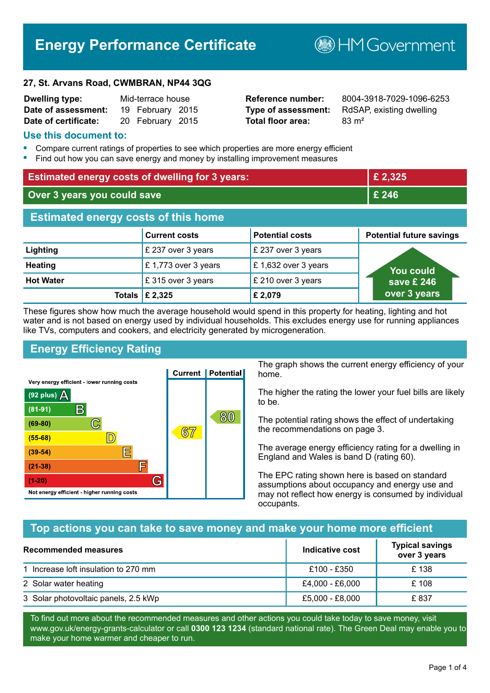# **Energy Performance Certificate**

**B**HM Government

#### **27, St. Arvans Road, CWMBRAN, NP44 3QG**

| <b>Dwelling type:</b> | Mid-terrace house |                  |  |
|-----------------------|-------------------|------------------|--|
| Date of assessment:   |                   | 19 February 2015 |  |
| Date of certificate:  |                   | 20 February 2015 |  |

# **Total floor area:** 83 m<sup>2</sup>

**Reference number:** 8004-3918-7029-1096-6253 **Type of assessment:** RdSAP, existing dwelling

#### **Use this document to:**

- **•** Compare current ratings of properties to see which properties are more energy efficient
- **•** Find out how you can save energy and money by installing improvement measures

| <b>Estimated energy costs of dwelling for 3 years:</b> |                           |                        | £ 2,325                         |
|--------------------------------------------------------|---------------------------|------------------------|---------------------------------|
| Over 3 years you could save                            |                           | £ 246                  |                                 |
| <b>Estimated energy costs of this home</b>             |                           |                        |                                 |
|                                                        | <b>Current costs</b>      | <b>Potential costs</b> | <b>Potential future savings</b> |
| Lighting                                               | £ 237 over 3 years        | £ 237 over 3 years     |                                 |
| <b>Heating</b>                                         | £1,773 over 3 years       | £1,632 over 3 years    | You could                       |
| <b>Hot Water</b>                                       | £315 over 3 years         | £ 210 over 3 years     | save £ 246                      |
|                                                        | Totals $\mathsf{E}$ 2,325 | £ 2,079                | over 3 years                    |

These figures show how much the average household would spend in this property for heating, lighting and hot water and is not based on energy used by individual households. This excludes energy use for running appliances like TVs, computers and cookers, and electricity generated by microgeneration.

# **Energy Efficiency Rating**



The graph shows the current energy efficiency of your home.

The higher the rating the lower your fuel bills are likely to be.

The potential rating shows the effect of undertaking the recommendations on page 3.

The average energy efficiency rating for a dwelling in England and Wales is band D (rating 60).

The EPC rating shown here is based on standard assumptions about occupancy and energy use and may not reflect how energy is consumed by individual occupants.

# **Top actions you can take to save money and make your home more efficient**

| Recommended measures                 | Indicative cost | <b>Typical savings</b><br>over 3 years |
|--------------------------------------|-----------------|----------------------------------------|
| 1 Increase loft insulation to 270 mm | £100 - £350     | £138                                   |
| 2 Solar water heating                | £4,000 - £6,000 | £108                                   |
| 3 Solar photovoltaic panels, 2.5 kWp | £5,000 - £8,000 | £837                                   |

To find out more about the recommended measures and other actions you could take today to save money, visit www.gov.uk/energy-grants-calculator or call **0300 123 1234** (standard national rate). The Green Deal may enable you to make your home warmer and cheaper to run.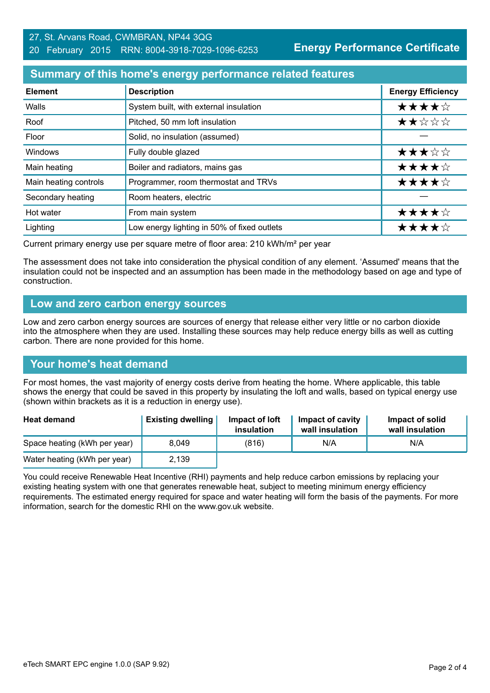# **Summary of this home's energy performance related features**

| <b>Element</b>        | <b>Description</b>                          | <b>Energy Efficiency</b> |
|-----------------------|---------------------------------------------|--------------------------|
| Walls                 | System built, with external insulation      | ★★★★☆                    |
| Roof                  | Pitched, 50 mm loft insulation              | ★★☆☆☆                    |
| Floor                 | Solid, no insulation (assumed)              |                          |
| Windows               | Fully double glazed                         | ★★★☆☆                    |
| Main heating          | Boiler and radiators, mains gas             | ★★★★☆                    |
| Main heating controls | Programmer, room thermostat and TRVs        | ★★★★☆                    |
| Secondary heating     | Room heaters, electric                      |                          |
| Hot water             | From main system                            | ★★★★☆                    |
| Lighting              | Low energy lighting in 50% of fixed outlets | ★★★★☆                    |

Current primary energy use per square metre of floor area: 210 kWh/m² per year

The assessment does not take into consideration the physical condition of any element. 'Assumed' means that the insulation could not be inspected and an assumption has been made in the methodology based on age and type of construction.

# **Low and zero carbon energy sources**

Low and zero carbon energy sources are sources of energy that release either very little or no carbon dioxide into the atmosphere when they are used. Installing these sources may help reduce energy bills as well as cutting carbon. There are none provided for this home.

# **Your home's heat demand**

For most homes, the vast majority of energy costs derive from heating the home. Where applicable, this table shows the energy that could be saved in this property by insulating the loft and walls, based on typical energy use (shown within brackets as it is a reduction in energy use).

| <b>Heat demand</b>           | <b>Existing dwelling</b> | Impact of loft<br>insulation | <b>Impact of cavity</b><br>wall insulation | Impact of solid<br>wall insulation |
|------------------------------|--------------------------|------------------------------|--------------------------------------------|------------------------------------|
| Space heating (kWh per year) | 8.049                    | (816)                        | N/A                                        | N/A                                |
| Water heating (kWh per year) | 2,139                    |                              |                                            |                                    |

You could receive Renewable Heat Incentive (RHI) payments and help reduce carbon emissions by replacing your existing heating system with one that generates renewable heat, subject to meeting minimum energy efficiency requirements. The estimated energy required for space and water heating will form the basis of the payments. For more information, search for the domestic RHI on the www.gov.uk website.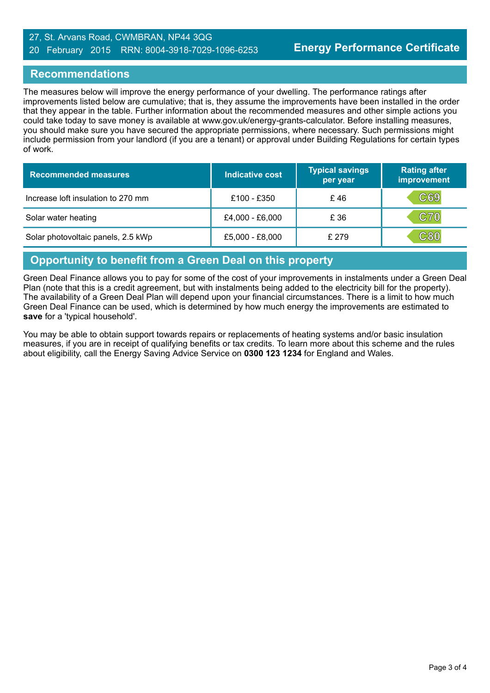# 27, St. Arvans Road, CWMBRAN, NP44 3QG 20 February 2015 RRN: 8004-3918-7029-1096-6253

# **Recommendations**

The measures below will improve the energy performance of your dwelling. The performance ratings after improvements listed below are cumulative; that is, they assume the improvements have been installed in the order that they appear in the table. Further information about the recommended measures and other simple actions you could take today to save money is available at www.gov.uk/energy-grants-calculator. Before installing measures, you should make sure you have secured the appropriate permissions, where necessary. Such permissions might include permission from your landlord (if you are a tenant) or approval under Building Regulations for certain types of work.

| <b>Recommended measures</b>        | Indicative cost | <b>Typical savings</b><br>per year | <b>Rating after</b><br>improvement |
|------------------------------------|-----------------|------------------------------------|------------------------------------|
| Increase loft insulation to 270 mm | £100 - £350     | £46                                | C69                                |
| Solar water heating                | £4,000 - £6,000 | £ 36                               | <b>C70</b>                         |
| Solar photovoltaic panels, 2.5 kWp | £5,000 - £8,000 | £ 279                              | C80                                |

# **Opportunity to benefit from a Green Deal on this property**

Green Deal Finance allows you to pay for some of the cost of your improvements in instalments under a Green Deal Plan (note that this is a credit agreement, but with instalments being added to the electricity bill for the property). The availability of a Green Deal Plan will depend upon your financial circumstances. There is a limit to how much Green Deal Finance can be used, which is determined by how much energy the improvements are estimated to **save** for a 'typical household'.

You may be able to obtain support towards repairs or replacements of heating systems and/or basic insulation measures, if you are in receipt of qualifying benefits or tax credits. To learn more about this scheme and the rules about eligibility, call the Energy Saving Advice Service on **0300 123 1234** for England and Wales.